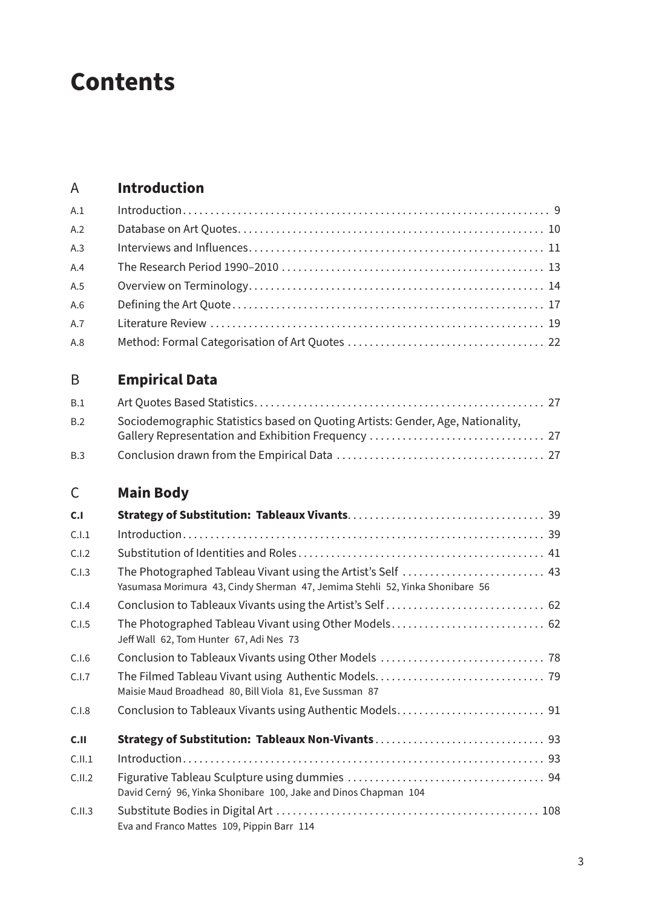# **Contents**

#### A **Introduction**

| A.1 |  |
|-----|--|
| A.2 |  |
| A.3 |  |
| A.4 |  |
| A.5 |  |
| A.6 |  |
| A.7 |  |
| A.8 |  |

## B **Empirical Data**

| B.1 |                                                                                 |  |
|-----|---------------------------------------------------------------------------------|--|
| B.2 | Sociodemographic Statistics based on Quoting Artists: Gender, Age, Nationality, |  |
|     |                                                                                 |  |
| B.3 |                                                                                 |  |

## C **Main Body**

| C.1     |                                                                                                  |
|---------|--------------------------------------------------------------------------------------------------|
| C.I.1   |                                                                                                  |
| C.I.2   |                                                                                                  |
| C.I.3   | Yasumasa Morimura 43, Cindy Sherman 47, Jemima Stehli 52, Yinka Shonibare 56                     |
| C.I.4   |                                                                                                  |
| C.I.5   | The Photographed Tableau Vivant using Other Models 62<br>Jeff Wall 62, Tom Hunter 67, Adi Nes 73 |
| C.I.6   |                                                                                                  |
| C.I.7   | Maisie Maud Broadhead 80, Bill Viola 81, Eve Sussman 87                                          |
| C.I.8   |                                                                                                  |
| C.II    |                                                                                                  |
| C.I.I.1 |                                                                                                  |
| C.I.I.2 | David Cerný 96, Yinka Shonibare 100, Jake and Dinos Chapman 104                                  |
| C.I.I.3 | Eva and Franco Mattes 109, Pippin Barr 114                                                       |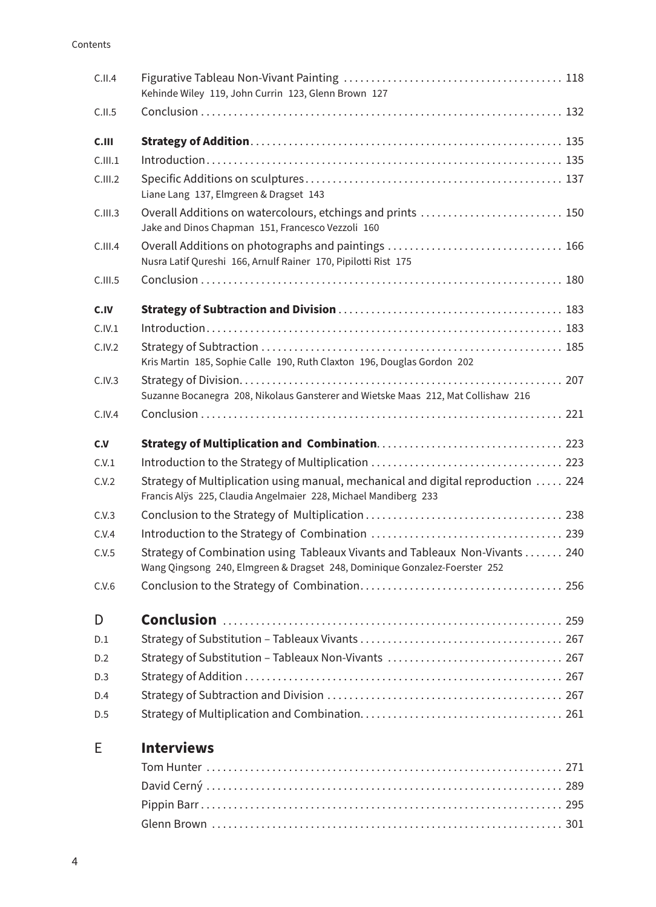#### Contents

| C.I.I.4 | Kehinde Wiley 119, John Currin 123, Glenn Brown 127                                                                                                        |
|---------|------------------------------------------------------------------------------------------------------------------------------------------------------------|
| C.II.5  |                                                                                                                                                            |
| C.III   |                                                                                                                                                            |
| C.III.1 | $Introduction \dots 135$                                                                                                                                   |
| C.III.2 | Liane Lang 137, Elmgreen & Dragset 143                                                                                                                     |
| C.III.3 | Overall Additions on watercolours, etchings and prints  150<br>Jake and Dinos Chapman 151, Francesco Vezzoli 160                                           |
| C.III.4 | Nusra Latif Qureshi 166, Arnulf Rainer 170, Pipilotti Rist 175                                                                                             |
| C.III.5 |                                                                                                                                                            |
| C.IV    |                                                                                                                                                            |
| C.IV.1  | $Introduction \dots 183$                                                                                                                                   |
| C.IV.2  | Kris Martin 185, Sophie Calle 190, Ruth Claxton 196, Douglas Gordon 202                                                                                    |
| C.IV.3  | Suzanne Bocanegra 208, Nikolaus Gansterer and Wietske Maas 212, Mat Collishaw 216                                                                          |
| C.IV.4  |                                                                                                                                                            |
| c.v     |                                                                                                                                                            |
| C.V.1   |                                                                                                                                                            |
| C.V.2   | Strategy of Multiplication using manual, mechanical and digital reproduction  224<br>Francis Alÿs 225, Claudia Angelmaier 228, Michael Mandiberg 233       |
| C.V.3   |                                                                                                                                                            |
| C.V.4   |                                                                                                                                                            |
| C.V.5   | Strategy of Combination using Tableaux Vivants and Tableaux Non-Vivants  240<br>Wang Qingsong 240, Elmgreen & Dragset 248, Dominique Gonzalez-Foerster 252 |
| C.V.6   |                                                                                                                                                            |
| D       |                                                                                                                                                            |
| D.1     |                                                                                                                                                            |
| D.2     |                                                                                                                                                            |
| D.3     |                                                                                                                                                            |
| D.4     |                                                                                                                                                            |
| D.5     |                                                                                                                                                            |
| Е       | <b>Interviews</b>                                                                                                                                          |
|         |                                                                                                                                                            |
|         |                                                                                                                                                            |
|         |                                                                                                                                                            |

Glenn Brown . . 301